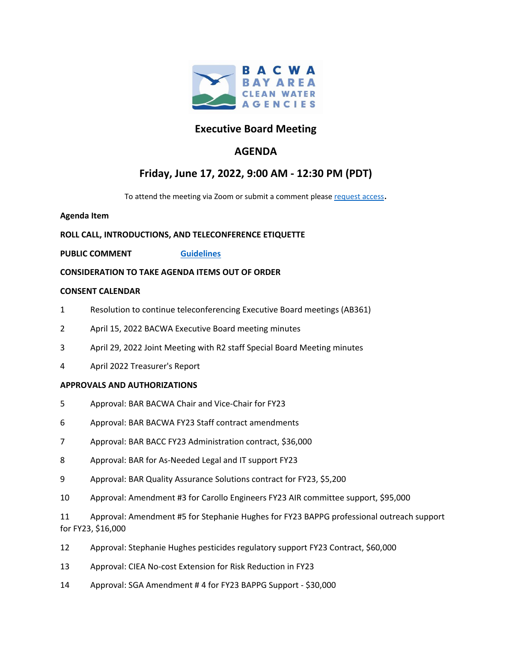

## **Executive Board Meeting**

## **AGENDA**

# **Friday, June 17, 2022, 9:00 AM - 12:30 PM (PDT)**

To attend the meeting via Zoom or submit a comment please [request access.](https://bacwa.org/general/bacwa-public-comments-guidelines/)

### **Agenda Item**

## **ROLL CALL, INTRODUCTIONS, AND TELECONFERENCE ETIQUETTE**

## **PUBLIC COMMENT [Guidelines](https://bacwa.org/general/bacwa-public-comments-guidelines/)**

### **CONSIDERATION TO TAKE AGENDA ITEMS OUT OF ORDER**

### **CONSENT CALENDAR**

- 1 Resolution to continue teleconferencing Executive Board meetings (AB361)
- 2 April 15, 2022 BACWA Executive Board meeting minutes
- 3 April 29, 2022 Joint Meeting with R2 staff Special Board Meeting minutes
- 4 April 2022 Treasurer's Report

#### **APPROVALS AND AUTHORIZATIONS**

- 5 Approval: BAR BACWA Chair and Vice-Chair for FY23
- 6 Approval: BAR BACWA FY23 Staff contract amendments
- 7 Approval: BAR BACC FY23 Administration contract, \$36,000
- 8 Approval: BAR for As-Needed Legal and IT support FY23
- 9 Approval: BAR Quality Assurance Solutions contract for FY23, \$5,200
- 10 Approval: Amendment #3 for Carollo Engineers FY23 AIR committee support, \$95,000

11 Approval: Amendment #5 for Stephanie Hughes for FY23 BAPPG professional outreach support for FY23, \$16,000

- 12 Approval: Stephanie Hughes pesticides regulatory support FY23 Contract, \$60,000
- 13 Approval: CIEA No-cost Extension for Risk Reduction in FY23
- 14 Approval: SGA Amendment # 4 for FY23 BAPPG Support \$30,000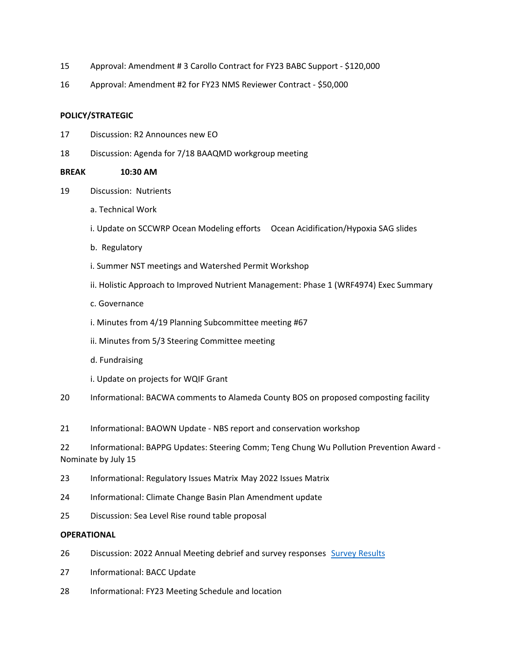- 15 Approval: Amendment # 3 Carollo Contract for FY23 BABC Support - \$120,000
- 16 Approval: Amendment #2 for FY23 NMS Reviewer Contract - \$50,000

#### **POLICY/STRATEGIC**

- 17 Discussion: R2 Announces new EO
- 18 Discussion: Agenda for 7/18 BAAQMD workgroup meeting

#### **BREAK 10:30 AM**

- 19 Discussion: Nutrients
	- a. Technical Work
	- i. Update on SCCWRP Ocean Modeling efforts Ocean Acidification/Hypoxia SAG slides
	- b. Regulatory
	- i. Summer NST meetings and Watershed Permit Workshop
	- ii. Holistic Approach to Improved Nutrient Management: Phase 1 (WRF4974) Exec Summary
	- c. Governance
	- i. Minutes from 4/19 Planning Subcommittee meeting #67
	- ii. Minutes from 5/3 Steering Committee meeting
	- d. Fundraising
	- i. Update on projects for WQIF Grant
- 20 Informational: BACWA comments to Alameda County BOS on proposed composting facility
- 21 Informational: BAOWN Update NBS report and conservation workshop
- 22 Informational: BAPPG Updates: Steering Comm; Teng Chung Wu Pollution Prevention Award Nominate by July 15
- 23 Informational: Regulatory Issues Matrix May 2022 Issues Matrix
- 24 Informational: Climate Change Basin Plan Amendment update
- 25 Discussion: Sea Level Rise round table proposal

#### **OPERATIONAL**

- 26 Discussion: 2022 Annual Meeting debrief and survey responses [Survey Results](https://www.surveymonkey.com/results/SM-3r1OVHZsWr1G5rA2K9l_2BRg_3D_3D/)
- 27 Informational: BACC Update
- 28 Informational: FY23 Meeting Schedule and location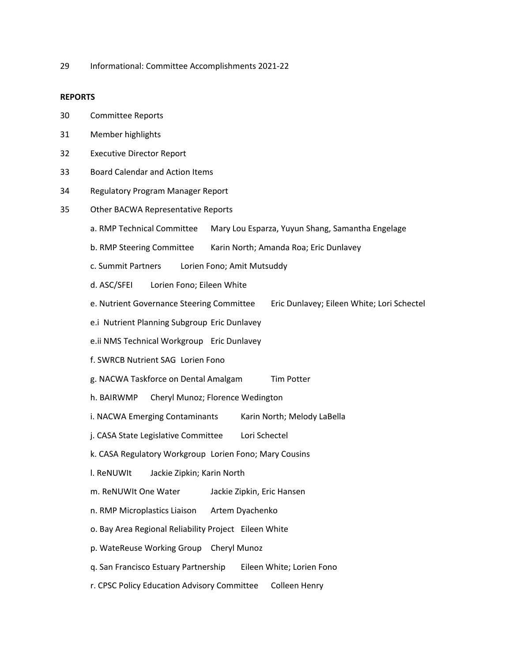29 Informational: Committee Accomplishments 2021-22

#### **REPORTS**

- 30 Committee Reports
- 31 Member highlights
- 32 Executive Director Report
- 33 Board Calendar and Action Items
- 34 Regulatory Program Manager Report
- 35 Other BACWA Representative Reports
	- a. RMP Technical Committee Mary Lou Esparza, Yuyun Shang, Samantha Engelage
	- b. RMP Steering Committee Karin North; Amanda Roa; Eric Dunlavey
	- c. Summit Partners Lorien Fono; Amit Mutsuddy
	- d. ASC/SFEI Lorien Fono; Eileen White
	- e. Nutrient Governance Steering Committee Eric Dunlavey; Eileen White; Lori Schectel
	- e.i Nutrient Planning Subgroup Eric Dunlavey
	- e.ii NMS Technical Workgroup Eric Dunlavey
	- f. SWRCB Nutrient SAG Lorien Fono
	- g. NACWA Taskforce on Dental Amalgam Tim Potter
	- h. BAIRWMP Cheryl Munoz; Florence Wedington
	- i. NACWA Emerging Contaminants Karin North; Melody LaBella
	- j. CASA State Legislative Committee Lori Schectel
	- k. CASA Regulatory Workgroup Lorien Fono; Mary Cousins
	- l. ReNUWIt Jackie Zipkin; Karin North
	- m. ReNUWIt One Water Jackie Zipkin, Eric Hansen
	- n. RMP Microplastics Liaison Artem Dyachenko
	- o. Bay Area Regional Reliability Project Eileen White
	- p. WateReuse Working Group Cheryl Munoz
	- q. San Francisco Estuary Partnership Eileen White; Lorien Fono
	- r. CPSC Policy Education Advisory Committee Colleen Henry